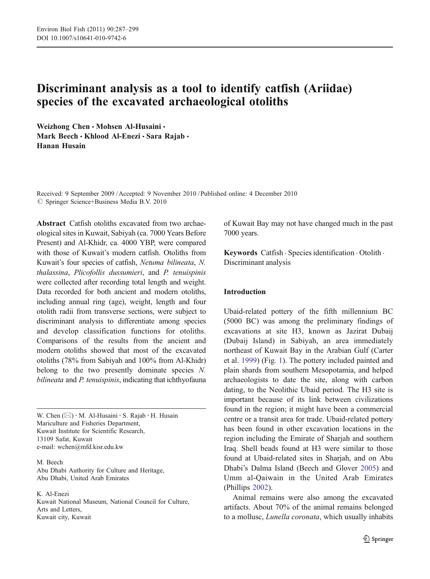# Discriminant analysis as a tool to identify catfish (Ariidae) species of the excavated archaeological otoliths

Weizhong Chen · Mohsen Al-Husaini · Mark Beech • Khlood Al-Enezi • Sara Rajab • Hanan Husain

Received: 9 September 2009 /Accepted: 9 November 2010 / Published online: 4 December 2010  $\circledcirc$  Springer Science+Business Media B.V. 2010

Abstract Catfish otoliths excavated from two archaeological sites in Kuwait, Sabiyah (ca. 7000 Years Before Present) and Al-Khidr, ca. 4000 YBP, were compared with those of Kuwait's modern catfish. Otoliths from Kuwait's four species of catfish, Netuma bilineata, N. thalassina, Plicofollis dussumieri, and P. tenuispinis were collected after recording total length and weight. Data recorded for both ancient and modern otoliths, including annual ring (age), weight, length and four otolith radii from transverse sections, were subject to discriminant analysis to differentiate among species and develop classification functions for otoliths. Comparisons of the results from the ancient and modern otoliths showed that most of the excavated otoliths (78% from Sabiyah and 100% from Al-Khidr) belong to the two presently dominate species N. bilineata and P. tenuispinis, indicating that ichthyofauna

W. Chen  $(\boxtimes) \cdot M$ . Al-Husaini  $\cdot$  S. Rajab  $\cdot$  H. Husain Mariculture and Fisheries Department, Kuwait Institute for Scientific Research, 13109 Safat, Kuwait e-mail: wchen@mfd.kisr.edu.kw

M. Beech Abu Dhabi Authority for Culture and Heritage, Abu Dhabi, United Arab Emirates

K. Al-Enezi

Kuwait National Museum, National Council for Culture, Arts and Letters, Kuwait city, Kuwait

of Kuwait Bay may not have changed much in the past 7000 years.

Keywords Catfish . Species identification . Otolith . Discriminant analysis

# Introduction

Ubaid-related pottery of the fifth millennium BC (5000 BC) was among the preliminary findings of excavations at site H3, known as Jazirat Dubaij (Dubaij Island) in Sabiyah, an area immediately northeast of Kuwait Bay in the Arabian Gulf (Carter et al. [1999](#page-12-0)) (Fig. [1\)](#page-1-0). The pottery included painted and plain shards from southern Mesopotamia, and helped archaeologists to date the site, along with carbon dating, to the Neolithic Ubaid period. The H3 site is important because of its link between civilizations found in the region; it might have been a commercial centre or a transit area for trade. Ubaid-related pottery has been found in other excavation locations in the region including the Emirate of Sharjah and southern Iraq. Shell beads found at H3 were similar to those found at Ubaid-related sites in Sharjah, and on Abu Dhabi's Dalma Island (Beech and Glover [2005\)](#page-11-0) and Umm al-Qaiwain in the United Arab Emirates (Phillips [2002\)](#page-12-0).

Animal remains were also among the excavated artifacts. About 70% of the animal remains belonged to a mollusc, Lunella coronata, which usually inhabits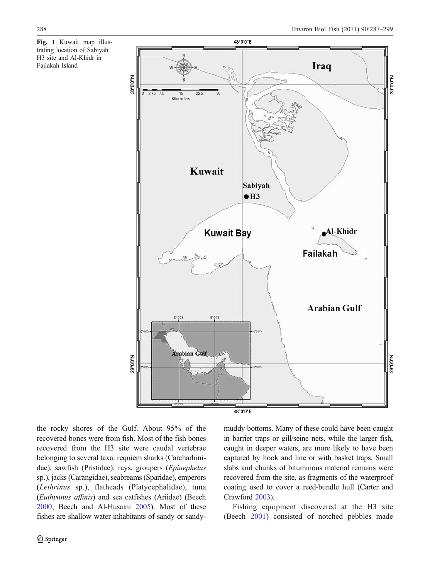<span id="page-1-0"></span>Fig. 1 Kuwait map illustrating location of Sabiyah H3 site and Al-Khidr in Failakah Island



the rocky shores of the Gulf. About 95% of the recovered bones were from fish. Most of the fish bones recovered from the H3 site were caudal vertebrae belonging to several taxa: requiem sharks (Carcharhinidae), sawfish (Pristidae), rays, groupers (Epinephelus sp.), jacks (Carangidae), seabreams (Sparidae), emperors (Lethrinus sp.), flatheads (Platycephalidae), tuna (Euthynnus affinis) and sea catfishes (Ariidae) (Beech [2000](#page-11-0); Beech and Al-Husaini [2005\)](#page-11-0). Most of these fishes are shallow water inhabitants of sandy or sandymuddy bottoms. Many of these could have been caught in barrier traps or gill/seine nets, while the larger fish, caught in deeper waters, are more likely to have been captured by hook and line or with basket traps. Small slabs and chunks of bituminous material remains were recovered from the site, as fragments of the waterproof coating used to cover a reed-bundle hull (Carter and Crawford [2003](#page-11-0)).

Fishing equipment discovered at the H3 site (Beech [2001\)](#page-11-0) consisted of notched pebbles made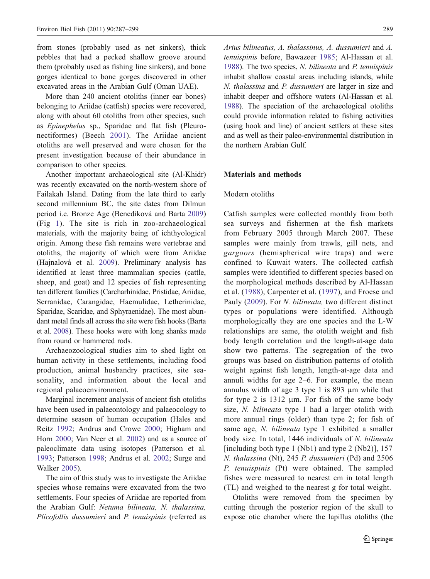from stones (probably used as net sinkers), thick pebbles that had a pecked shallow groove around them (probably used as fishing line sinkers), and bone gorges identical to bone gorges discovered in other excavated areas in the Arabian Gulf (Oman UAE).

More than 240 ancient otoliths (inner ear bones) belonging to Ariidae (catfish) species were recovered, along with about 60 otoliths from other species, such as Epinephelus sp., Sparidae and flat fish (Pleuronectiformes) (Beech [2001\)](#page-11-0). The Ariidae ancient otoliths are well preserved and were chosen for the present investigation because of their abundance in comparison to other species.

Another important archaeological site (Al-Khidr) was recently excavated on the north-western shore of Failakah Island. Dating from the late third to early second millennium BC, the site dates from Dilmun period i.e. Bronze Age (Benediková and Barta [2009\)](#page-11-0) (Fig [1\)](#page-1-0). The site is rich in zoo-archaeological materials, with the majority being of ichthyological origin. Among these fish remains were vertebrae and otoliths, the majority of which were from Ariidae (Hajnalová et al. [2009](#page-12-0)). Preliminary analysis has identified at least three mammalian species (cattle, sheep, and goat) and 12 species of fish representing ten different families (Carcharhinidae, Pristidae, Ariidae, Serranidae, Carangidae, Haemulidae, Letherinidae, Sparidae, Scaridae, and Sphyraenidae). The most abundant metal finds all across the site were fish hooks (Barta et al. [2008\)](#page-11-0). These hooks were with long shanks made from round or hammered rods.

Archaeozoological studies aim to shed light on human activity in these settlements, including food production, animal husbandry practices, site seasonality, and information about the local and regional palaeoenvironment.

Marginal increment analysis of ancient fish otoliths have been used in palaeontology and palaeocology to determine season of human occupation (Hales and Reitz [1992](#page-12-0); Andrus and Crowe [2000;](#page-11-0) Higham and Horn [2000](#page-12-0); Van Neer et al. [2002](#page-12-0)) and as a source of paleoclimate data using isotopes (Patterson et al. [1993;](#page-12-0) Patterson [1998](#page-12-0); Andrus et al. [2002](#page-11-0); Surge and Walker [2005](#page-12-0)).

The aim of this study was to investigate the Ariidae species whose remains were excavated from the two settlements. Four species of Ariidae are reported from the Arabian Gulf: Netuma bilineata, N. thalassina, Plicofollis dussumieri and P. tenuispinis (referred as Arius bilineatus, A. thalassinus, A. dussumieri and A. tenuispinis before, Bawazeer [1985;](#page-11-0) Al-Hassan et al. [1988\)](#page-11-0). The two species, N. bilineata and P. tenuispinis inhabit shallow coastal areas including islands, while N. thalassina and P. dussumieri are larger in size and inhabit deeper and offshore waters (Al-Hassan et al. [1988](#page-11-0)). The speciation of the archaeological otoliths could provide information related to fishing activities (using hook and line) of ancient settlers at these sites and as well as their paleo-environmental distribution in the northern Arabian Gulf.

# Materials and methods

## Modern otoliths

Catfish samples were collected monthly from both sea surveys and fishermen at the fish markets from February 2005 through March 2007. These samples were mainly from trawls, gill nets, and gargoors (hemispherical wire traps) and were confined to Kuwait waters. The collected catfish samples were identified to different species based on the morphological methods described by Al-Hassan et al. ([1988](#page-11-0)), Carpenter et al. ([1997\)](#page-11-0), and Froese and Pauly [\(2009\)](#page-12-0). For N. bilineata, two different distinct types or populations were identified. Although morphologically they are one species and the L-W relationships are same, the otolith weight and fish body length correlation and the length-at-age data show two patterns. The segregation of the two groups was based on distribution patterns of otolith weight against fish length, length-at-age data and annuli widths for age 2–6. For example, the mean annulus width of age 3 type 1 is 893 μm while that for type 2 is  $1312 \mu m$ . For fish of the same body size, N. bilineata type 1 had a larger otolith with more annual rings (older) than type 2; for fish of same age, N. bilineata type 1 exhibited a smaller body size. In total, 1446 individuals of N. bilineata [including both type 1 (Nb1) and type 2 (Nb2)], 157 N. thalassina (Nt), 245 P. dussumieri (Pd) and 2506 P. tenuispinis (Pt) were obtained. The sampled fishes were measured to nearest cm in total length (TL) and weighed to the nearest g for total weight.

Otoliths were removed from the specimen by cutting through the posterior region of the skull to expose otic chamber where the lapillus otoliths (the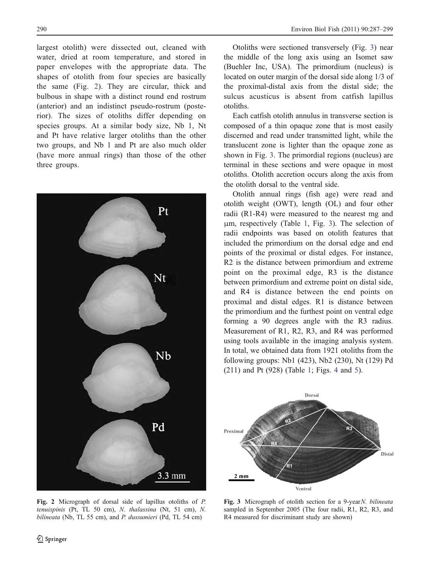largest otolith) were dissected out, cleaned with water, dried at room temperature, and stored in paper envelopes with the appropriate data. The shapes of otolith from four species are basically the same (Fig. 2). They are circular, thick and bulbous in shape with a distinct round end rostrum (anterior) and an indistinct pseudo-rostrum (posterior). The sizes of otoliths differ depending on species groups. At a similar body size, Nb 1, Nt and Pt have relative larger otoliths than the other two groups, and Nb 1 and Pt are also much older (have more annual rings) than those of the other three groups.



Fig. 2 Micrograph of dorsal side of lapillus otoliths of P. tenuispinis (Pt, TL 50 cm), N. thalassina (Nt, 51 cm), N. bilineata (Nb, TL 55 cm), and P. dussumieri (Pd, TL 54 cm)

Otoliths were sectioned transversely (Fig. 3) near the middle of the long axis using an Isomet saw (Buehler Inc, USA). The primordium (nucleus) is located on outer margin of the dorsal side along 1/3 of the proximal-distal axis from the distal side; the sulcus acusticus is absent from catfish lapillus otoliths.

Each catfish otolith annulus in transverse section is composed of a thin opaque zone that is most easily discerned and read under transmitted light, while the translucent zone is lighter than the opaque zone as shown in Fig. 3. The primordial regions (nucleus) are terminal in these sections and were opaque in most otoliths. Otolith accretion occurs along the axis from the otolith dorsal to the ventral side.

Otolith annual rings (fish age) were read and otolith weight (OWT), length (OL) and four other radii (R1-R4) were measured to the nearest mg and μm, respectively (Table [1,](#page-4-0) Fig. 3). The selection of radii endpoints was based on otolith features that included the primordium on the dorsal edge and end points of the proximal or distal edges. For instance, R2 is the distance between primordium and extreme point on the proximal edge, R3 is the distance between primordium and extreme point on distal side, and R4 is distance between the end points on proximal and distal edges. R1 is distance between the primordium and the furthest point on ventral edge forming a 90 degrees angle with the R3 radius. Measurement of R1, R2, R3, and R4 was performed using tools available in the imaging analysis system. In total, we obtained data from 1921 otoliths from the following groups: Nb1 (423), Nb2 (230), Nt (129) Pd (211) and Pt (928) (Table [1](#page-4-0); Figs. [4](#page-4-0) and [5](#page-5-0)).



Fig. 3 Micrograph of otolith section for a 9-year N. bilineata sampled in September 2005 (The four radii, R1, R2, R3, and R4 measured for discriminant study are shown)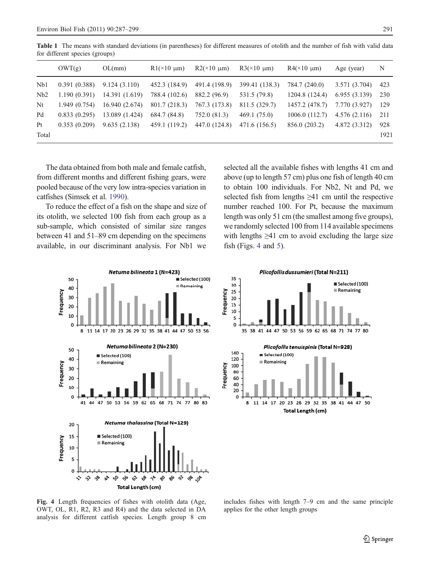|       | OWT(g)       | OL(mm)         | $R1(\times 10 \mu m)$ | $R2(\times 10 \text{ }\mu\text{m})$ | $R3(\times 10 \mu m)$ | $R4(x10 \mu m)$ | Age (year)    | N    |
|-------|--------------|----------------|-----------------------|-------------------------------------|-----------------------|-----------------|---------------|------|
| Nb1   | 0.391(0.388) | 9.124(3.110)   | 452.3 (184.9)         | 491.4 (198.9)                       | 399.41 (138.3)        | 784.7 (240.0)   | 3.571 (3.704) | 423  |
| Nb2   | 1.190(0.391) | 14.391 (1.619) | 788.4 (102.6)         | 882.2 (96.9)                        | 531.5 (79.8)          | 1204.8(124.4)   | 6.955(3.139)  | 230  |
| Nt    | 1.949(0.754) | 16.940 (2.674) | 801.7 (218.3)         | 767.3 (173.8)                       | 811.5 (329.7)         | 1457.2 (478.7)  | 7.770 (3.927) | -129 |
| Pd    | 0.833(0.295) | 13.089 (1.424) | 684.7 (84.8)          | 752.0 (81.3)                        | 469.1 (75.0)          | 1006.0(112.7)   | 4.576(2.116)  | 211  |
| Pt    | 0.353(0.209) | 9.635(2.138)   | 459.1 (119.2)         | 447.0 (124.8)                       | 471.6 (156.5)         | 856.0 (203.2)   | 4.872 (3.312) | 928  |
| Total |              |                |                       |                                     |                       |                 |               | 1921 |
|       |              |                |                       |                                     |                       |                 |               |      |

<span id="page-4-0"></span>Table 1 The means with standard deviations (in parentheses) for different measures of otolith and the number of fish with valid data for different species (groups)

The data obtained from both male and female catfish, from different months and different fishing gears, were pooled because of the very low intra-species variation in catfishes (Simsek et al. [1990](#page-12-0)).

To reduce the effect of a fish on the shape and size of its otolith, we selected 100 fish from each group as a sub-sample, which consisted of similar size ranges between 41 and 51–89 cm depending on the specimens available, in our discriminant analysis. For Nb1 we selected all the available fishes with lengths 41 cm and above (up to length 57 cm) plus one fish of length 40 cm to obtain 100 individuals. For Nb2, Nt and Pd, we selected fish from lengths ≥41 cm until the respective number reached 100. For Pt, because the maximum length was only 51 cm (the smallest among five groups), we randomly selected 100 from 114 available specimens with lengths  $\geq 41$  cm to avoid excluding the large size fish (Figs. 4 and [5](#page-5-0)).





Fig. 4 Length frequencies of fishes with otolith data (Age, OWT, OL, R1, R2, R3 and R4) and the data selected in DA analysis for different catfish species. Length group 8 cm

includes fishes with length 7–9 cm and the same principle applies for the other length groups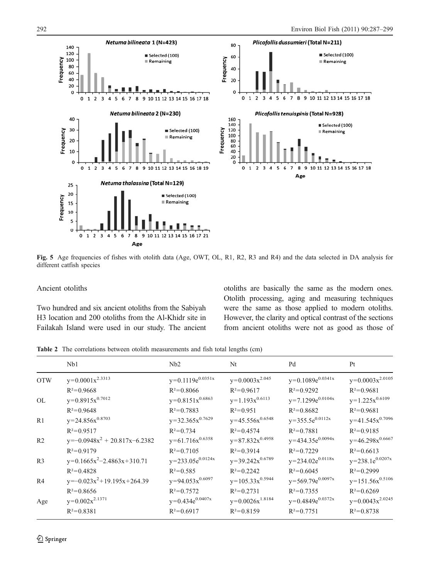<span id="page-5-0"></span>

Fig. 5 Age frequencies of fishes with otolith data (Age, OWT, OL, R1, R2, R3 and R4) and the data selected in DA analysis for different catfish species

#### Ancient otoliths

Two hundred and six ancient otoliths from the Sabiyah H3 location and 200 otoliths from the Al-Khidr site in Failakah Island were used in our study. The ancient otoliths are basically the same as the modern ones. Otolith processing, aging and measuring techniques were the same as those applied to modern otoliths. However, the clarity and optical contrast of the sections from ancient otoliths were not as good as those of

Table 2 The correlations between otolith measurements and fish total lengths (cm)

|                | Nb1                               | Nb2                   | Nt                   | Pd                    | Pt                   |
|----------------|-----------------------------------|-----------------------|----------------------|-----------------------|----------------------|
| <b>OTW</b>     | $y=0.0001x^{2.3313}$              | $y=0.1119e^{0.0351x}$ | $y=0.0003x^{2.045}$  | $y=0.1089e^{0.0341x}$ | $y=0.0003x^{2.0105}$ |
|                | $R^2=0.9668$                      | $R^2=0.8066$          | $R^2=0.9617$         | $R^2=0.9292$          | $R^2=0.9681$         |
| <b>OL</b>      | $y=0.8915x^{0.7012}$              | $y=0.8151x^{0.6863}$  | $y=1.193x^{0.6113}$  | $y=7.1299e^{0.0104x}$ | $y=1.225x^{0.6109}$  |
|                | $R^2 = 0.9648$                    | $R^2=0.7883$          | $R^2=0.951$          | $R^2=0.8682$          | $R^2 = 0.9681$       |
| R1             | $y=24.856x^{0.8703}$              | $y=32.365x^{0.7629}$  | $y=45.556x^{0.6548}$ | $y=355.5e^{0.0112x}$  | $y=41.545x^{0.7096}$ |
|                | $R^2=0.9517$                      | $R^2 = 0.734$         | $R^2=0.4574$         | $R^2 = 0.7881$        | $R^2=0.9185$         |
| R <sub>2</sub> | $y=-0.0948x^{2} + 20.817x-6.2382$ | $y=61.716x^{0.6358}$  | $y=87.832x^{0.4958}$ | $y=434.35e^{0.0094x}$ | $y=46.298x^{0.6667}$ |
|                | $R^2=0.9179$                      | $R^2 = 0.7105$        | $R^2=0.3914$         | $R^2=0.7229$          | $R^2=0.6613$         |
| R <sub>3</sub> | $y=0.1665x^2-2.4863x+310.71$      | $y=233.05e^{0.0124x}$ | $y=39.242x^{0.6789}$ | $y=234.02e^{0.0118x}$ | $y=238.1e^{0.0207x}$ |
|                | $R^2 = 0.4828$                    | $R^2 = 0.585$         | $R^2=0.2242$         | $R^2 = 0.6045$        | $R^2=0.2999$         |
| R <sub>4</sub> | $y=-0.023x^{2}+19.195x+264.39$    | $y=94.053x^{0.6097}$  | $y=105.33x^{0.5944}$ | $y=569.79e^{0.0097x}$ | $y=151.56x^{0.5106}$ |
|                | $R^2=0.8656$                      | $R^2=0.7572$          | $R^2 = 0.2731$       | $R^2=0.7355$          | $R^2=0.6269$         |
| Age            | $y=0.002x^{2.1371}$               | $y=0.434e^{0.0407x}$  | $y=0.0026x^{1.8184}$ | $y=0.4849e^{0.0372x}$ | $y=0.0043x^{2.0245}$ |
|                | $R^2 = 0.8381$                    | $R^2 = 0.6917$        | $R^2=0.8159$         | $R^2=0.7751$          | $R^2=0.8738$         |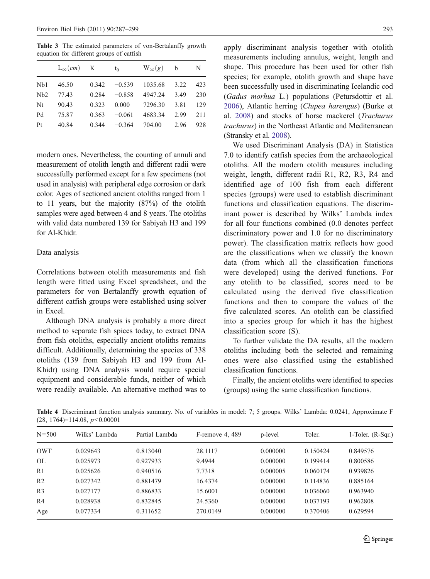<span id="page-6-0"></span>Table 3 The estimated parameters of von-Bertalanffy growth equation for different groups of catfish

|     | $L_{\infty}(cm)$ K |       | $t_0$    | $W_{\infty}(g)$ | b    | N   |
|-----|--------------------|-------|----------|-----------------|------|-----|
| Nb1 | 46.50              | 0.342 | $-0.539$ | 1035.68         | 3.22 | 423 |
| Nb2 | 77.43              | 0.284 | $-0.858$ | 4947.24         | 3.49 | 230 |
| Nt  | 90.43              | 0.323 | 0.000    | 7296.30         | 3.81 | 129 |
| Pd  | 75.87              | 0.363 | $-0.061$ | 4683.34         | 2.99 | 211 |
| Pt  | 40.84              | 0.344 | $-0.364$ | 704.00          | 2.96 | 928 |

modern ones. Nevertheless, the counting of annuli and measurement of otolith length and different radii were successfully performed except for a few specimens (not used in analysis) with peripheral edge corrosion or dark color. Ages of sectioned ancient otoliths ranged from 1 to 11 years, but the majority (87%) of the otolith samples were aged between 4 and 8 years. The otoliths with valid data numbered 139 for Sabiyah H3 and 199 for Al-Khidr.

## Data analysis

Correlations between otolith measurements and fish length were fitted using Excel spreadsheet, and the parameters for von Bertalanffy growth equation of different catfish groups were established using solver in Excel.

Although DNA analysis is probably a more direct method to separate fish spices today, to extract DNA from fish otoliths, especially ancient otoliths remains difficult. Additionally, determining the species of 338 otoliths (139 from Sabiyah H3 and 199 from Al-Khidr) using DNA analysis would require special equipment and considerable funds, neither of which were readily available. An alternative method was to apply discriminant analysis together with otolith measurements including annulus, weight, length and shape. This procedure has been used for other fish species; for example, otolith growth and shape have been successfully used in discriminating Icelandic cod (Gadus morhua L.) populations (Petursdottir et al. [2006\)](#page-12-0), Atlantic herring (Clupea harengus) (Burke et al. [2008](#page-11-0)) and stocks of horse mackerel (Trachurus trachurus) in the Northeast Atlantic and Mediterranean (Stransky et al. [2008\)](#page-12-0).

We used Discriminant Analysis (DA) in Statistica 7.0 to identify catfish species from the archaeological otoliths. All the modern otolith measures including weight, length, different radii R1, R2, R3, R4 and identified age of 100 fish from each different species (groups) were used to establish discriminant functions and classification equations. The discriminant power is described by Wilks' Lambda index for all four functions combined (0.0 denotes perfect discriminatory power and 1.0 for no discriminatory power). The classification matrix reflects how good are the classifications when we classify the known data (from which all the classification functions were developed) using the derived functions. For any otolith to be classified, scores need to be calculated using the derived five classification functions and then to compare the values of the five calculated scores. An otolith can be classified into a species group for which it has the highest classification score (S).

To further validate the DA results, all the modern otoliths including both the selected and remaining ones were also classified using the established classification functions.

Finally, the ancient otoliths were identified to species (groups) using the same classification functions.

Table 4 Discriminant function analysis summary. No. of variables in model: 7; 5 groups. Wilks' Lambda: 0.0241, Approximate F  $(28, 1764) = 114.08, p < 0.00001$ 

| $N = 500$      | Wilks' Lambda | Partial Lambda | $F$ -remove 4, 489 | p-level  | Toler.   | 1-Toler. $(R-Sqr.)$ |
|----------------|---------------|----------------|--------------------|----------|----------|---------------------|
| <b>OWT</b>     | 0.029643      | 0.813040       | 28.1117            | 0.000000 | 0.150424 | 0.849576            |
| <b>OL</b>      | 0.025973      | 0.927933       | 9.4944             | 0.000000 | 0.199414 | 0.800586            |
| R1             | 0.025626      | 0.940516       | 7.7318             | 0.000005 | 0.060174 | 0.939826            |
| R <sub>2</sub> | 0.027342      | 0.881479       | 16.4374            | 0.000000 | 0.114836 | 0.885164            |
| R <sub>3</sub> | 0.027177      | 0.886833       | 15.6001            | 0.000000 | 0.036060 | 0.963940            |
| R <sub>4</sub> | 0.028938      | 0.832845       | 24.5360            | 0.000000 | 0.037193 | 0.962808            |
| Age            | 0.077334      | 0.311652       | 270.0149           | 0.000000 | 0.370406 | 0.629594            |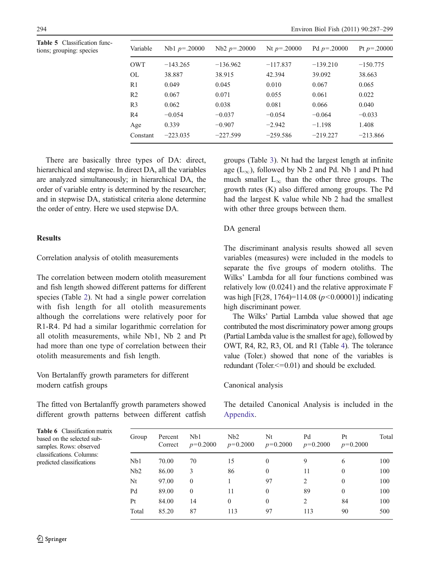<span id="page-7-0"></span>Table 5 Classification functions; grouping: species

| Variable       | Nb1 $p=.20000$ | $Nb2 p=.20000$ | Nt $p = 0.20000$ | Pd $p = 0.20000$ | Pt $p = 0.20000$ |
|----------------|----------------|----------------|------------------|------------------|------------------|
| <b>OWT</b>     | $-143.265$     | $-136.962$     | $-117.837$       | $-139.210$       | $-150.775$       |
| <b>OL</b>      | 38.887         | 38.915         | 42.394           | 39.092           | 38.663           |
| R <sub>1</sub> | 0.049          | 0.045          | 0.010            | 0.067            | 0.065            |
| R <sub>2</sub> | 0.067          | 0.071          | 0.055            | 0.061            | 0.022            |
| R <sub>3</sub> | 0.062          | 0.038          | 0.081            | 0.066            | 0.040            |
| R <sub>4</sub> | $-0.054$       | $-0.037$       | $-0.054$         | $-0.064$         | $-0.033$         |
| Age            | 0.339          | $-0.907$       | $-2.942$         | $-1.198$         | 1.408            |
| Constant       | $-223.035$     | $-227.599$     | $-259.586$       | $-219.227$       | $-213.866$       |

There are basically three types of DA: direct, hierarchical and stepwise. In direct DA, all the variables are analyzed simultaneously; in hierarchical DA, the order of variable entry is determined by the researcher; and in stepwise DA, statistical criteria alone determine the order of entry. Here we used stepwise DA.

## Results

Correlation analysis of otolith measurements

The correlation between modern otolith measurement and fish length showed different patterns for different species (Table [2\)](#page-5-0). Nt had a single power correlation with fish length for all otolith measurements although the correlations were relatively poor for R1-R4. Pd had a similar logarithmic correlation for all otolith measurements, while Nb1, Nb 2 and Pt had more than one type of correlation between their otolith measurements and fish length.

Von Bertalanffy growth parameters for different modern catfish groups

The fitted von Bertalanffy growth parameters showed different growth patterns between different catfish

groups (Table [3\)](#page-6-0). Nt had the largest length at infinite age ( $L_{\infty}$ ), followed by Nb 2 and Pd. Nb 1 and Pt had much smaller  $L_{\infty}$  than the other three groups. The growth rates (K) also differed among groups. The Pd had the largest K value while Nb 2 had the smallest with other three groups between them.

# DA general

The discriminant analysis results showed all seven variables (measures) were included in the models to separate the five groups of modern otoliths. The Wilks' Lambda for all four functions combined was relatively low (0.0241) and the relative approximate F was high [F(28, 1764)=114.08 ( $p$ <0.00001)] indicating high discriminant power.

The Wilks' Partial Lambda value showed that age contributed the most discriminatory power among groups (Partial Lambda value is the smallest for age), followed by OWT, R4, R2, R3, OL and R1 (Table [4\)](#page-6-0). The tolerance value (Toler.) showed that none of the variables is redundant (Toler.<=0.01) and should be excluded.

## Canonical analysis

The detailed Canonical Analysis is included in the [Appendix](#page-9-0).

| Table 6 Classification matrix |
|-------------------------------|
| based on the selected sub-    |
| samples. Rows: observed       |
| classifications. Columns:     |
| predicted classifications     |

| Group | Percent<br>Correct | Nb1<br>$p=0.2000$ | Nb2<br>$p=0.2000$ | Nt<br>$p=0.2000$ | Pd<br>$p=0.2000$ | Pt<br>$p=0.2000$ | Total |
|-------|--------------------|-------------------|-------------------|------------------|------------------|------------------|-------|
| Nb1   | 70.00              | 70                | 15                | $\bf{0}$         | 9                | 6                | 100   |
| Nb2   | 86.00              | 3                 | 86                | $\mathbf{0}$     | 11               | $\theta$         | 100   |
| Nt    | 97.00              | $\Omega$          |                   | 97               | 2                | $\Omega$         | 100   |
| Pd    | 89.00              | $\Omega$          | 11                | $\mathbf{0}$     | 89               | $\Omega$         | 100   |
| Pt    | 84.00              | 14                | $\theta$          | $\mathbf{0}$     | $\overline{2}$   | 84               | 100   |
| Total | 85.20              | 87                | 113               | 97               | 113              | 90               | 500   |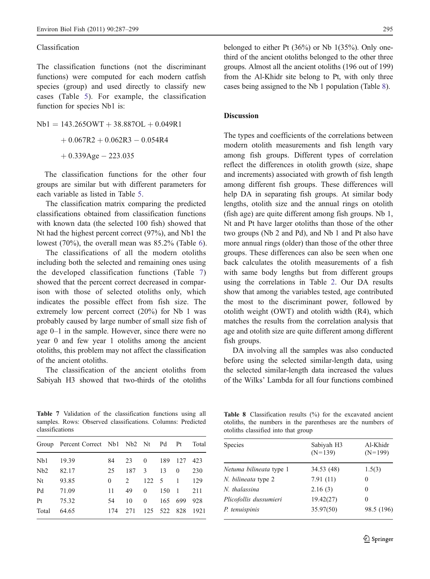### Classification

The classification functions (not the discriminant functions) were computed for each modern catfish species (group) and used directly to classify new cases (Table [5](#page-7-0)). For example, the classification function for species Nb1 is:

 $Nb1 = 143.265OWT + 38.887OL + 0.049R1$  $+0.067R2 + 0.062R3 - 0.054R4$  $+0.339$ Age - 223.035

The classification functions for the other four groups are similar but with different parameters for each variable as listed in Table [5](#page-7-0).

The classification matrix comparing the predicted classifications obtained from classification functions with known data (the selected 100 fish) showed that Nt had the highest percent correct (97%), and Nb1 the lowest (70%), the overall mean was 85.2% (Table [6\)](#page-7-0).

The classifications of all the modern otoliths including both the selected and remaining ones using the developed classification functions (Table 7) showed that the percent correct decreased in comparison with those of selected otoliths only, which indicates the possible effect from fish size. The extremely low percent correct (20%) for Nb 1 was probably caused by large number of small size fish of age 0–1 in the sample. However, since there were no year 0 and few year 1 otoliths among the ancient otoliths, this problem may not affect the classification of the ancient otoliths.

The classification of the ancient otoliths from Sabiyah H3 showed that two-thirds of the otoliths

Table 7 Validation of the classification functions using all samples. Rows: Observed classifications. Columns: Predicted classifications

|       | Group Percent Correct Nb1 Nb2 Nt |     |                |                | Pd          | Pt             | Total |
|-------|----------------------------------|-----|----------------|----------------|-------------|----------------|-------|
| Nb1   | 19.39                            | 84  | 23             | $\overline{0}$ | 189         | 127            | 423   |
| Nb2   | 82.17                            | 25  | 187            | 3              | 13          | $\theta$       | 230   |
| Nt    | 93.85                            | 0   | $\mathfrak{D}$ |                | 122 5       | $\overline{1}$ | 129   |
| Pd    | 71.09                            | 11  | 49             | $\theta$       | 150         | $\overline{1}$ | 211   |
| Pt    | 75.32                            | 54  | 10             | $\theta$       | 165         | 699            | 928   |
| Total | 64.65                            | 174 | 2.71           |                | 125 522 828 |                | 1921  |
|       |                                  |     |                |                |             |                |       |

belonged to either Pt  $(36\%)$  or Nb  $1(35\%)$ . Only onethird of the ancient otoliths belonged to the other three groups. Almost all the ancient otoliths (196 out of 199) from the Al-Khidr site belong to Pt, with only three cases being assigned to the Nb 1 population (Table 8).

# Discussion

The types and coefficients of the correlations between modern otolith measurements and fish length vary among fish groups. Different types of correlation reflect the differences in otolith growth (size, shape and increments) associated with growth of fish length among different fish groups. These differences will help DA in separating fish groups. At similar body lengths, otolith size and the annual rings on otolith (fish age) are quite different among fish groups. Nb 1, Nt and Pt have larger otoliths than those of the other two groups (Nb 2 and Pd), and Nb 1 and Pt also have more annual rings (older) than those of the other three groups. These differences can also be seen when one back calculates the otolith measurements of a fish with same body lengths but from different groups using the correlations in Table [2](#page-5-0). Our DA results show that among the variables tested, age contributed the most to the discriminant power, followed by otolith weight (OWT) and otolith width (R4), which matches the results from the correlation analysis that age and otolith size are quite different among different fish groups.

DA involving all the samples was also conducted before using the selected similar-length data, using the selected similar-length data increased the values of the Wilks' Lambda for all four functions combined

Table 8 Classification results (%) for the excavated ancient otoliths, the numbers in the parentheses are the numbers of otoliths classified into that group

| Species                 | Sabiyah H3<br>$(N=139)$ | Al-Khidr<br>$(N=199)$ |
|-------------------------|-------------------------|-----------------------|
| Netuma bilineata type 1 | 34.53 (48)              | 1.5(3)                |
| N. bilineata type 2     | 7.91(11)                | 0                     |
| N. thalassina           | 2.16(3)                 | 0                     |
| Plicofollis dussumieri  | 19.42(27)               | 0                     |
| P. tenuispinis          | 35.97(50)               | 98.5 (196)            |
|                         |                         |                       |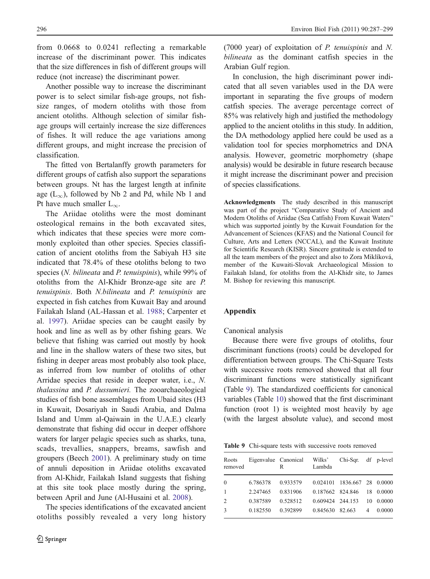<span id="page-9-0"></span>from 0.0668 to 0.0241 reflecting a remarkable increase of the discriminant power. This indicates that the size differences in fish of different groups will reduce (not increase) the discriminant power.

Another possible way to increase the discriminant power is to select similar fish-age groups, not fishsize ranges, of modern otoliths with those from ancient otoliths. Although selection of similar fishage groups will certainly increase the size differences of fishes. It will reduce the age variations among different groups, and might increase the precision of classification.

The fitted von Bertalanffy growth parameters for different groups of catfish also support the separations between groups. Nt has the largest length at infinite age  $(L_{\infty})$ , followed by Nb 2 and Pd, while Nb 1 and Pt have much smaller  $L_{\infty}$ .

The Ariidae otoliths were the most dominant osteological remains in the both excavated sites, which indicates that these species were more commonly exploited than other species. Species classification of ancient otoliths from the Sabiyah H3 site indicated that 78.4% of these otoliths belong to two species (N. bilineata and P. tenuispinis), while 99% of otoliths from the Al-Khidr Bronze-age site are P. tenuispinis. Both N.bilineata and P. tenuispinis are expected in fish catches from Kuwait Bay and around Failakah Island (AL-Hassan et al. [1988;](#page-11-0) Carpenter et al. [1997](#page-11-0)). Ariidae species can be caught easily by hook and line as well as by other fishing gears. We believe that fishing was carried out mostly by hook and line in the shallow waters of these two sites, but fishing in deeper areas most probably also took place, as inferred from low number of otoliths of other Arridae species that reside in deeper water, i.e., N. thalassina and P. dussumieri. The zooarchaeological studies of fish bone assemblages from Ubaid sites (H3 in Kuwait, Dosariyah in Saudi Arabia, and Dalma Island and Umm al-Qaiwain in the U.A.E.) clearly demonstrate that fishing did occur in deeper offshore waters for larger pelagic species such as sharks, tuna, scads, trevallies, snappers, breams, sawfish and groupers (Beech [2001](#page-11-0)). A preliminary study on time of annuli deposition in Ariidae otoliths excavated from Al-Khidr, Failakah Island suggests that fishing at this site took place mostly during the spring, between April and June (Al-Husaini et al. [2008\)](#page-11-0).

The species identifications of the excavated ancient otoliths possibly revealed a very long history (7000 year) of exploitation of P. tenuispinis and N. bilineata as the dominant catfish species in the Arabian Gulf region.

In conclusion, the high discriminant power indicated that all seven variables used in the DA were important in separating the five groups of modern catfish species. The average percentage correct of 85% was relatively high and justified the methodology applied to the ancient otoliths in this study. In addition, the DA methodology applied here could be used as a validation tool for species morphometrics and DNA analysis. However, geometric morphometry (shape analysis) would be desirable in future research because it might increase the discriminant power and precision of species classifications.

Acknowledgments The study described in this manuscript was part of the project "Comparative Study of Ancient and Modern Otoliths of Ariidae (Sea Catfish) From Kuwait Waters" which was supported jointly by the Kuwait Foundation for the Advancement of Sciences (KFAS) and the National Council for Culture, Arts and Letters (NCCAL), and the Kuwait Institute for Scientific Research (KISR). Sincere gratitude is extended to all the team members of the project and also to Zora Miklíková, member of the Kuwaiti-Slovak Archaeological Mission to Failakah Island, for otoliths from the Al-Khidr site, to James M. Bishop for reviewing this manuscript.

## Appendix

#### Canonical analysis

Because there were five groups of otoliths, four discriminant functions (roots) could be developed for differentiation between groups. The Chi-Square Tests with successive roots removed showed that all four discriminant functions were statistically significant (Table 9). The standardized coefficients for canonical variables (Table [10](#page-10-0)) showed that the first discriminant function (root 1) is weighted most heavily by age (with the largest absolute value), and second most

Table 9 Chi-square tests with successive roots removed

| Roots<br>removed | Eigenvalue Canonical | R        | Wilks'<br>Lambda | Chi-Sqr. df p-level         |    |           |
|------------------|----------------------|----------|------------------|-----------------------------|----|-----------|
| $\Omega$         | 6.786378             | 0.933579 |                  | 0.024101 1836.667 28 0.0000 |    |           |
| $\overline{1}$   | 2.247465             | 0.831906 | 0.187662 824.846 |                             |    | 18 0.0000 |
| 2                | 0.387589             | 0.528512 | 0.609424 244.153 |                             | 10 | 0.0000    |
| 3                | 0.182550             | 0.392899 | 0.845630 82.663  |                             | 4  | 0.0000    |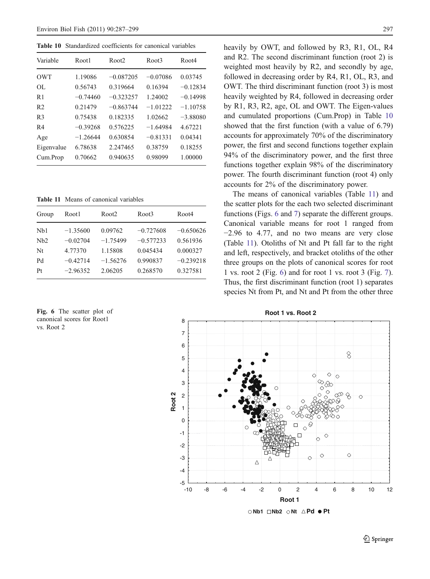<span id="page-10-0"></span>Table 10 Standardized coefficients for canonical variables

| Variable       | Root1      | Root <sub>2</sub> | Root3      | Root4      |
|----------------|------------|-------------------|------------|------------|
| OWT            | 1.19086    | $-0.087205$       | $-0.07086$ | 0.03745    |
| OL.            | 0.56743    | 0.319664          | 0.16394    | $-0.12834$ |
| R <sub>1</sub> | $-0.74460$ | $-0.323257$       | 1.24002    | $-0.14998$ |
| R <sub>2</sub> | 0.21479    | $-0.863744$       | $-1.01222$ | $-1.10758$ |
| R <sub>3</sub> | 0.75438    | 0.182335          | 1.02662    | $-3.88080$ |
| R <sub>4</sub> | $-0.39268$ | 0.576225          | $-1.64984$ | 4 67221    |
| Age            | $-1.26644$ | 0.630854          | $-0.81331$ | 0.04341    |
| Eigenvalue     | 6.78638    | 2.247465          | 0.38759    | 0.18255    |
| Cum.Prop       | 0.70662    | 0.940635          | 0.98099    | 1.00000    |

Table 11 Means of canonical variables

| Root1      | Root <sub>2</sub> | Root3       | Root4       |
|------------|-------------------|-------------|-------------|
| $-1.35600$ | 0.09762           | $-0.727608$ | $-0.650626$ |
| $-0.02704$ | $-1.75499$        | $-0.577233$ | 0.561936    |
| 4.77370    | 1.15808           | 0.045434    | 0.000327    |
| $-0.42714$ | $-1.56276$        | 0.990837    | $-0.239218$ |
| $-2.96352$ | 2.06205           | 0.268570    | 0.327581    |
|            |                   |             |             |

Fig. 6 The scatter plot of canonical scores for Root1 vs. Root 2

heavily by OWT, and followed by R3, R1, OL, R4 and R2. The second discriminant function (root 2) is weighted most heavily by R2, and secondly by age, followed in decreasing order by R4, R1, OL, R3, and OWT. The third discriminant function (root 3) is most heavily weighted by R4, followed in decreasing order by R1, R3, R2, age, OL and OWT. The Eigen-values and cumulated proportions (Cum.Prop) in Table 10 showed that the first function (with a value of 6.79) accounts for approximately 70% of the discriminatory power, the first and second functions together explain 94% of the discriminatory power, and the first three functions together explain 98% of the discriminatory power. The fourth discriminant function (root 4) only accounts for 2% of the discriminatory power.

The means of canonical variables (Table 11) and the scatter plots for the each two selected discriminant functions (Figs. 6 and [7](#page-11-0)) separate the different groups. Canonical variable means for root 1 ranged from −2.96 to 4.77, and no two means are very close (Table 11). Otoliths of Nt and Pt fall far to the right and left, respectively, and bracket otoliths of the other three groups on the plots of canonical scores for root 1 vs. root 2 (Fig. 6) and for root 1 vs. root 3 (Fig. [7\)](#page-11-0). Thus, the first discriminant function (root 1) separates species Nt from Pt, and Nt and Pt from the other three

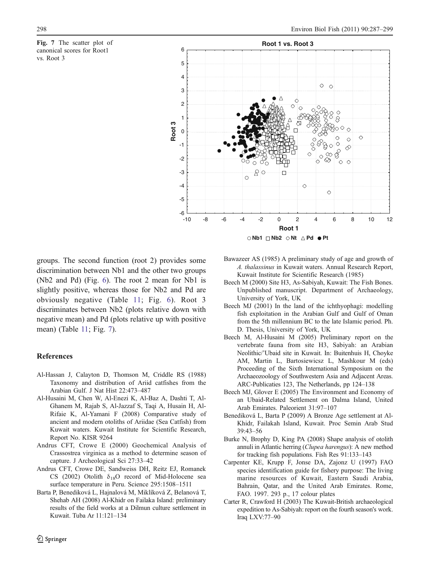<span id="page-11-0"></span>



groups. The second function (root 2) provides some discrimination between Nb1 and the other two groups (Nb2 and Pd) (Fig. [6](#page-10-0)). The root 2 mean for Nb1 is slightly positive, whereas those for Nb2 and Pd are obviously negative (Table [11;](#page-10-0) Fig. [6\)](#page-10-0). Root 3 discriminates between Nb2 (plots relative down with negative mean) and Pd (plots relative up with positive mean) (Table [11;](#page-10-0) Fig. 7).

## References

- Al-Hassan J, Calayton D, Thomson M, Criddle RS (1988) Taxonomy and distribution of Ariid catfishes from the Arabian Gulf. J Nat Hist 22:473–487
- Al-Husaini M, Chen W, Al-Enezi K, Al-Baz A, Dashti T, Al-Ghanem M, Rajab S, Al-Jazzaf S, Taqi A, Husain H, Al-Rifaie K, Al-Yamani F (2008) Comparative study of ancient and modern otoliths of Ariidae (Sea Catfish) from Kuwait waters. Kuwait Institute for Scientific Research, Report No. KISR 9264
- Andrus CFT, Crowe E (2000) Geochemical Analysis of Crassostrea virginica as a method to determine season of capture. J Archeological Sci 27:33–42
- Andrus CFT, Crowe DE, Sandweiss DH, Reitz EJ, Romanek CS (2002) Otolith  $\delta_{18}$ O record of Mid-Holocene sea surface temperature in Peru. Science 295:1508–1511
- Barta P, Benediková L, Hajnalová M, Miklíková Z, Belanová T, Shehab AH (2008) Al-Khidr on Failaka Island: preliminary results of the field works at a Dilmun culture settlement in Kuwait. Tuba Ar 11:121–134
- Bawazeer AS (1985) A preliminary study of age and growth of A. thalassinus in Kuwait waters. Annual Research Report, Kuwait Institute for Scientific Research (1985)
- Beech M (2000) Site H3, As-Sabiyah, Kuwait: The Fish Bones. Unpublished manuscript. Department of Archaeology, University of York, UK
- Beech MJ (2001) In the land of the ichthyophagi: modelling fish exploitation in the Arabian Gulf and Gulf of Oman from the 5th millennium BC to the late Islamic period. Ph. D. Thesis, University of York, UK
- Beech M, Al-Husaini M (2005) Preliminary report on the vertebrate fauna from site H3, Sabiyah: an Arabian Neolithic/'Ubaid site in Kuwait. In: Buitenhuis H, Choyke AM, Martin L, Bartosiewicsz L, Mashkour M (eds) Proceeding of the Sixth International Symposium on the Archaeozoology of Southwestern Asia and Adjacent Areas. ARC-Publicaties 123, The Netherlands, pp 124–138
- Beech MJ, Glover E (2005) The Environment and Economy of an Ubaid-Related Settlement on Dalma Island, United Arab Emirates. Paleorient 31:97–107
- Benediková L, Barta P (2009) A Bronze Age settlement at Al-Khidr, Failakah Island, Kuwait. Proc Semin Arab Stud 39:43–56
- Burke N, Brophy D, King PA (2008) Shape analysis of otolith annuli in Atlantic herring (Clupea harengus): A new method for tracking fish populations. Fish Res 91:133–143
- Carpenter KE, Krupp F, Jonse DA, Zajonz U (1997) FAO species identification guide for fishery purpose: The living marine resources of Kuwait, Eastern Saudi Arabia, Bahrain, Qatar, and the United Arab Emirates. Rome, FAO. 1997. 293 p., 17 colour plates
- Carter R, Crawford H (2003) The Kuwait-British archaeological expedition to As-Sabiyah: report on the fourth season's work. Iraq LXV:77–90